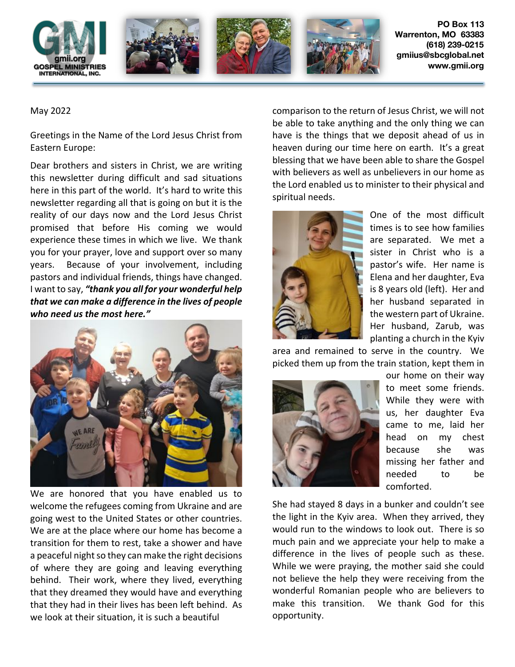

## May 2022

Greetings in the Name of the Lord Jesus Christ from Eastern Europe:

Dear brothers and sisters in Christ, we are writing this newsletter during difficult and sad situations here in this part of the world. It's hard to write this newsletter regarding all that is going on but it is the reality of our days now and the Lord Jesus Christ promised that before His coming we would experience these times in which we live. We thank you for your prayer, love and support over so many years. Because of your involvement, including pastors and individual friends, things have changed. I want to say, *"thank you all for your wonderful help that we can make a difference in the lives of people who need us the most here."*



We are honored that you have enabled us to welcome the refugees coming from Ukraine and are going west to the United States or other countries. We are at the place where our home has become a transition for them to rest, take a shower and have a peaceful night so they can make the right decisions of where they are going and leaving everything behind. Their work, where they lived, everything that they dreamed they would have and everything that they had in their lives has been left behind. As we look at their situation, it is such a beautiful

comparison to the return of Jesus Christ, we will not be able to take anything and the only thing we can have is the things that we deposit ahead of us in heaven during our time here on earth. It's a great blessing that we have been able to share the Gospel with believers as well as unbelievers in our home as the Lord enabled us to minister to their physical and spiritual needs.



One of the most difficult times is to see how families are separated. We met a sister in Christ who is a pastor's wife. Her name is Elena and her daughter, Eva is 8 years old (left). Her and her husband separated in the western part of Ukraine. Her husband, Zarub, was planting a church in the Kyiv

area and remained to serve in the country. We picked them up from the train station, kept them in



our home on their way to meet some friends. While they were with us, her daughter Eva came to me, laid her head on my chest because she was missing her father and needed to be comforted.

She had stayed 8 days in a bunker and couldn't see the light in the Kyiv area. When they arrived, they would run to the windows to look out. There is so much pain and we appreciate your help to make a difference in the lives of people such as these. While we were praying, the mother said she could not believe the help they were receiving from the wonderful Romanian people who are believers to make this transition. We thank God for this opportunity.